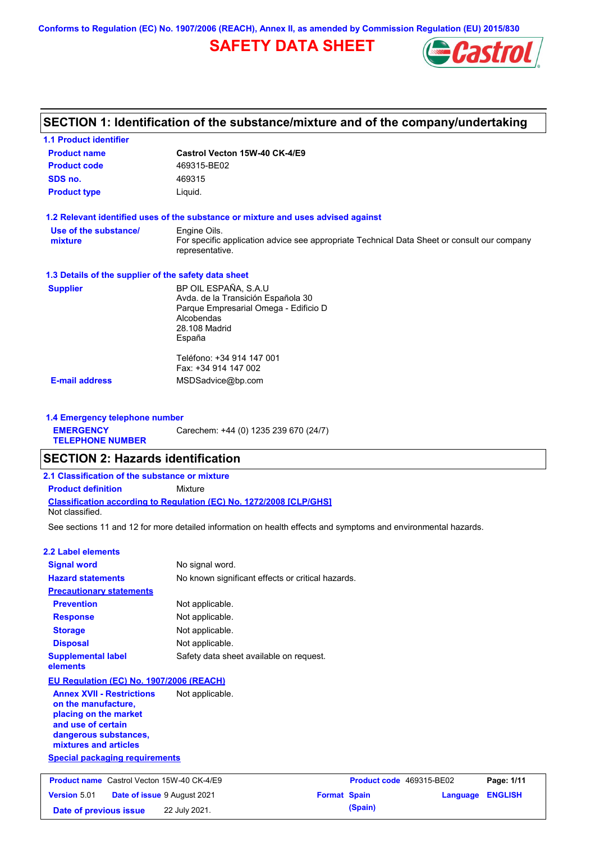**Conforms to Regulation (EC) No. 1907/2006 (REACH), Annex II, as amended by Commission Regulation (EU) 2015/830**

# **SAFETY DATA SHEET**



# **SECTION 1: Identification of the substance/mixture and of the company/undertaking**

| <b>1.1 Product identifier</b>                        |                                                                                                                                              |  |  |  |  |
|------------------------------------------------------|----------------------------------------------------------------------------------------------------------------------------------------------|--|--|--|--|
| <b>Product name</b>                                  | Castrol Vecton 15W-40 CK-4/E9                                                                                                                |  |  |  |  |
| <b>Product code</b>                                  | 469315-BE02                                                                                                                                  |  |  |  |  |
| SDS no.                                              | 469315                                                                                                                                       |  |  |  |  |
| <b>Product type</b><br>Liquid.                       |                                                                                                                                              |  |  |  |  |
|                                                      | 1.2 Relevant identified uses of the substance or mixture and uses advised against                                                            |  |  |  |  |
| Use of the substance/<br>mixture                     | Engine Oils.<br>For specific application advice see appropriate Technical Data Sheet or consult our company<br>representative.               |  |  |  |  |
| 1.3 Details of the supplier of the safety data sheet |                                                                                                                                              |  |  |  |  |
| <b>Supplier</b>                                      | BP OIL ESPAÑA, S.A.U<br>Avda. de la Transición Española 30<br>Parque Empresarial Omega - Edificio D<br>Alcobendas<br>28.108 Madrid<br>España |  |  |  |  |
| <b>E-mail address</b>                                | Teléfono: +34 914 147 001<br>Fax: +34 914 147 002<br>MSDSadvice@bp.com                                                                       |  |  |  |  |

**1.4 Emergency telephone number EMERGENCY TELEPHONE NUMBER** Carechem: +44 (0) 1235 239 670 (24/7)

## **SECTION 2: Hazards identification**

| 2.1 Classification of the substance or mixture |                                                                            |  |  |  |  |  |  |
|------------------------------------------------|----------------------------------------------------------------------------|--|--|--|--|--|--|
| <b>Product definition</b>                      | Mixture                                                                    |  |  |  |  |  |  |
| Not classified.                                | <b>Classification according to Regulation (EC) No. 1272/2008 ICLP/GHS1</b> |  |  |  |  |  |  |

See sections 11 and 12 for more detailed information on health effects and symptoms and environmental hazards.

## **2.2 Label elements**

**Version** 5.01

| <b>Signal word</b>                                                                                                                                       | No signal word.                                   |                          |  |            |  |  |  |
|----------------------------------------------------------------------------------------------------------------------------------------------------------|---------------------------------------------------|--------------------------|--|------------|--|--|--|
| <b>Hazard statements</b>                                                                                                                                 | No known significant effects or critical hazards. |                          |  |            |  |  |  |
| <b>Precautionary statements</b>                                                                                                                          |                                                   |                          |  |            |  |  |  |
| <b>Prevention</b>                                                                                                                                        | Not applicable.                                   |                          |  |            |  |  |  |
| <b>Response</b>                                                                                                                                          | Not applicable.                                   |                          |  |            |  |  |  |
| <b>Storage</b>                                                                                                                                           | Not applicable.                                   |                          |  |            |  |  |  |
| <b>Disposal</b>                                                                                                                                          | Not applicable.                                   |                          |  |            |  |  |  |
| <b>Supplemental label</b><br>elements                                                                                                                    | Safety data sheet available on request.           |                          |  |            |  |  |  |
| EU Regulation (EC) No. 1907/2006 (REACH)                                                                                                                 |                                                   |                          |  |            |  |  |  |
| <b>Annex XVII - Restrictions</b><br>on the manufacture,<br>placing on the market<br>and use of certain<br>dangerous substances,<br>mixtures and articles | Not applicable.                                   |                          |  |            |  |  |  |
| <b>Special packaging requirements</b>                                                                                                                    |                                                   |                          |  |            |  |  |  |
| <b>Product name</b> Castrol Vecton 15W-40 CK-4/E9                                                                                                        |                                                   | Product code 469315-BE02 |  | Page: 1/11 |  |  |  |

**Date of issue** 9 August 2021

**Date of previous issue** 22 July 2021.

|                     | Product code 469315-BE02 |                  | Page: 1/11 |
|---------------------|--------------------------|------------------|------------|
| <b>Format Spain</b> |                          | Language ENGLISH |            |
|                     | (Spain)                  |                  |            |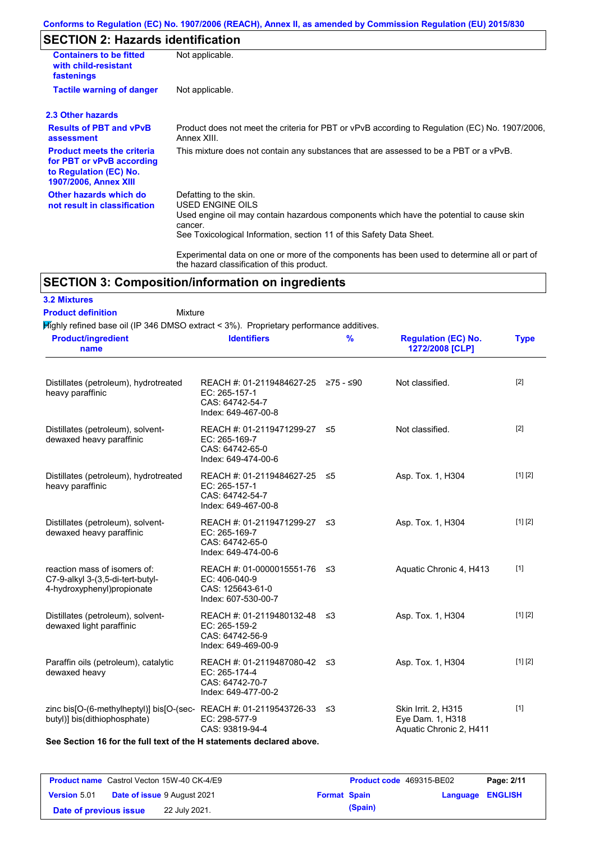## **Conforms to Regulation (EC) No. 1907/2006 (REACH), Annex II, as amended by Commission Regulation (EU) 2015/830**

# **SECTION 2: Hazards identification**

| <b>Containers to be fitted</b><br>with child-resistant<br>fastenings                                                     | Not applicable.                                                                                                                                                                                                                 |
|--------------------------------------------------------------------------------------------------------------------------|---------------------------------------------------------------------------------------------------------------------------------------------------------------------------------------------------------------------------------|
| <b>Tactile warning of danger</b>                                                                                         | Not applicable.                                                                                                                                                                                                                 |
| 2.3 Other hazards                                                                                                        |                                                                                                                                                                                                                                 |
| <b>Results of PBT and vPvB</b><br>assessment                                                                             | Product does not meet the criteria for PBT or vPvB according to Regulation (EC) No. 1907/2006,<br>Annex XIII.                                                                                                                   |
| <b>Product meets the criteria</b><br>for PBT or vPvB according<br>to Regulation (EC) No.<br><b>1907/2006, Annex XIII</b> | This mixture does not contain any substances that are assessed to be a PBT or a vPvB.                                                                                                                                           |
| Other hazards which do<br>not result in classification                                                                   | Defatting to the skin.<br><b>USED ENGINE OILS</b><br>Used engine oil may contain hazardous components which have the potential to cause skin<br>cancer.<br>See Toxicological Information, section 11 of this Safety Data Sheet. |
|                                                                                                                          | Experimental data on one or more of the components has been used to determine all or part of<br>the hazard classification of this product.                                                                                      |

# **SECTION 3: Composition/information on ingredients**

| <b>3.2 Mixtures</b>       |         |
|---------------------------|---------|
| <b>Product definition</b> | Mixture |

 $H$ ighly refined base oil (IP 346 DMSO extract < 3%). Proprietary performance additives.

| <b>Product/ingredient</b><br>name                                                                          | <b>Identifiers</b>                                                                             | $\frac{9}{6}$ | <b>Regulation (EC) No.</b><br>1272/2008 [CLP]                      | <b>Type</b> |
|------------------------------------------------------------------------------------------------------------|------------------------------------------------------------------------------------------------|---------------|--------------------------------------------------------------------|-------------|
| Distillates (petroleum), hydrotreated<br>heavy paraffinic                                                  | REACH #: 01-2119484627-25 ≥75 - ≤90<br>EC: 265-157-1<br>CAS: 64742-54-7<br>Index: 649-467-00-8 |               | Not classified.                                                    | $[2]$       |
| Distillates (petroleum), solvent-<br>dewaxed heavy paraffinic                                              | REACH #: 01-2119471299-27 ≤5<br>EC: 265-169-7<br>CAS: 64742-65-0<br>Index: 649-474-00-6        |               | Not classified.                                                    | $[2]$       |
| Distillates (petroleum), hydrotreated<br>heavy paraffinic                                                  | REACH #: 01-2119484627-25 ≤5<br>EC: 265-157-1<br>CAS: 64742-54-7<br>Index: 649-467-00-8        |               | Asp. Tox. 1, H304                                                  | [1] [2]     |
| Distillates (petroleum), solvent-<br>dewaxed heavy paraffinic                                              | REACH #: 01-2119471299-27 ≤3<br>EC: 265-169-7<br>CAS: 64742-65-0<br>Index: 649-474-00-6        |               | Asp. Tox. 1, H304                                                  | [1] [2]     |
| reaction mass of isomers of:<br>C7-9-alkyl 3-(3,5-di-tert-butyl-<br>4-hydroxyphenyl)propionate             | REACH #: 01-0000015551-76 ≤3<br>EC: 406-040-9<br>CAS: 125643-61-0<br>Index: 607-530-00-7       |               | Aquatic Chronic 4, H413                                            | $[1]$       |
| Distillates (petroleum), solvent-<br>dewaxed light paraffinic                                              | REACH #: 01-2119480132-48 ≤3<br>EC: 265-159-2<br>CAS: 64742-56-9<br>Index: 649-469-00-9        |               | Asp. Tox. 1, H304                                                  | [1] [2]     |
| Paraffin oils (petroleum), catalytic<br>dewaxed heavy                                                      | REACH #: 01-2119487080-42 ≤3<br>EC: 265-174-4<br>CAS: 64742-70-7<br>Index: 649-477-00-2        |               | Asp. Tox. 1, H304                                                  | [1] [2]     |
| zinc bis[O-(6-methylheptyl)] bis[O-(sec-REACH #: 01-2119543726-33 $\leq$ 3<br>butyl)] bis(dithiophosphate) | EC: 298-577-9<br>CAS: 93819-94-4                                                               |               | Skin Irrit. 2, H315<br>Eye Dam. 1, H318<br>Aquatic Chronic 2, H411 | $[1]$       |

**See Section 16 for the full text of the H statements declared above.**

| <b>Product name</b> Castrol Vecton 15W-40 CK-4/E9 |  |                                    | <b>Product code</b> 469315-BE02 | Page: 2/11 |                         |  |
|---------------------------------------------------|--|------------------------------------|---------------------------------|------------|-------------------------|--|
| <b>Version 5.01</b>                               |  | <b>Date of issue 9 August 2021</b> | <b>Format Spain</b>             |            | <b>Language ENGLISH</b> |  |
| Date of previous issue                            |  | 22 July 2021.                      |                                 | (Spain)    |                         |  |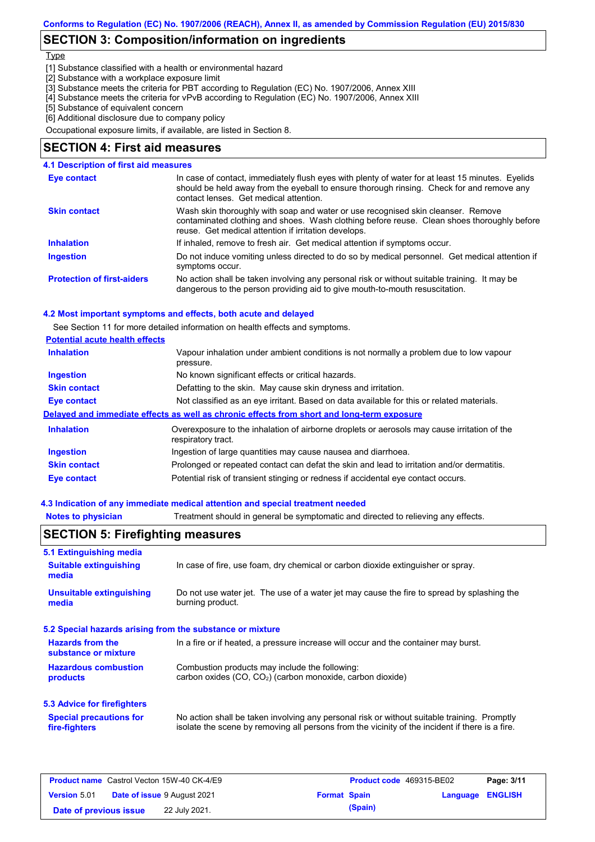## **SECTION 3: Composition/information on ingredients**

#### **Type**

[1] Substance classified with a health or environmental hazard

- [2] Substance with a workplace exposure limit
- [3] Substance meets the criteria for PBT according to Regulation (EC) No. 1907/2006, Annex XIII
- [4] Substance meets the criteria for vPvB according to Regulation (EC) No. 1907/2006, Annex XIII
- [5] Substance of equivalent concern
- [6] Additional disclosure due to company policy

Occupational exposure limits, if available, are listed in Section 8.

## **SECTION 4: First aid measures**

#### Do not induce vomiting unless directed to do so by medical personnel. Get medical attention if symptoms occur. In case of contact, immediately flush eyes with plenty of water for at least 15 minutes. Eyelids should be held away from the eyeball to ensure thorough rinsing. Check for and remove any contact lenses. Get medical attention. **4.1 Description of first aid measures** If inhaled, remove to fresh air. Get medical attention if symptoms occur. **Ingestion Inhalation Eye contact Protection of first-aiders** No action shall be taken involving any personal risk or without suitable training. It may be dangerous to the person providing aid to give mouth-to-mouth resuscitation. **Skin contact** Wash skin thoroughly with soap and water or use recognised skin cleanser. Remove contaminated clothing and shoes. Wash clothing before reuse. Clean shoes thoroughly before reuse. Get medical attention if irritation develops.

### **4.2 Most important symptoms and effects, both acute and delayed**

See Section 11 for more detailed information on health effects and symptoms.

| <b>Potential acute health effects</b> |                                                                                                                   |
|---------------------------------------|-------------------------------------------------------------------------------------------------------------------|
| <b>Inhalation</b>                     | Vapour inhalation under ambient conditions is not normally a problem due to low vapour<br>pressure.               |
| <b>Ingestion</b>                      | No known significant effects or critical hazards.                                                                 |
| <b>Skin contact</b>                   | Defatting to the skin. May cause skin dryness and irritation.                                                     |
| Eye contact                           | Not classified as an eye irritant. Based on data available for this or related materials.                         |
|                                       | Delayed and immediate effects as well as chronic effects from short and long-term exposure                        |
| <b>Inhalation</b>                     | Overexposure to the inhalation of airborne droplets or aerosols may cause irritation of the<br>respiratory tract. |
| <b>Ingestion</b>                      | Ingestion of large quantities may cause nausea and diarrhoea.                                                     |
| <b>Skin contact</b>                   | Prolonged or repeated contact can defat the skin and lead to irritation and/or dermatitis.                        |
| Eye contact                           | Potential risk of transient stinging or redness if accidental eye contact occurs.                                 |

### **4.3 Indication of any immediate medical attention and special treatment needed**

| <b>Notes to physician</b>                       | Treatment should in general be symptomatic and directed to relieving any effects.                                                                                                              |  |  |  |  |  |  |
|-------------------------------------------------|------------------------------------------------------------------------------------------------------------------------------------------------------------------------------------------------|--|--|--|--|--|--|
| <b>SECTION 5: Firefighting measures</b>         |                                                                                                                                                                                                |  |  |  |  |  |  |
| 5.1 Extinguishing media                         |                                                                                                                                                                                                |  |  |  |  |  |  |
| <b>Suitable extinguishing</b><br>media          | In case of fire, use foam, dry chemical or carbon dioxide extinguisher or spray.                                                                                                               |  |  |  |  |  |  |
| <b>Unsuitable extinguishing</b><br>media        | Do not use water jet. The use of a water jet may cause the fire to spread by splashing the<br>burning product.                                                                                 |  |  |  |  |  |  |
|                                                 | 5.2 Special hazards arising from the substance or mixture                                                                                                                                      |  |  |  |  |  |  |
| <b>Hazards from the</b><br>substance or mixture | In a fire or if heated, a pressure increase will occur and the container may burst.                                                                                                            |  |  |  |  |  |  |
| <b>Hazardous combustion</b><br>products         | Combustion products may include the following:<br>carbon oxides $(CO, CO2)$ (carbon monoxide, carbon dioxide)                                                                                  |  |  |  |  |  |  |
| 5.3 Advice for firefighters                     |                                                                                                                                                                                                |  |  |  |  |  |  |
| <b>Special precautions for</b><br>fire-fighters | No action shall be taken involving any personal risk or without suitable training. Promptly<br>isolate the scene by removing all persons from the vicinity of the incident if there is a fire. |  |  |  |  |  |  |

|                        | <b>Product name</b> Castrol Vecton 15W-40 CK-4/E9 |                     | <b>Product code</b> 469315-BE02 |                  | Page: 3/11 |
|------------------------|---------------------------------------------------|---------------------|---------------------------------|------------------|------------|
| <b>Version 5.01</b>    | <b>Date of issue 9 August 2021</b>                | <b>Format Spain</b> |                                 | Language ENGLISH |            |
| Date of previous issue | 22 July 2021.                                     |                     | (Spain)                         |                  |            |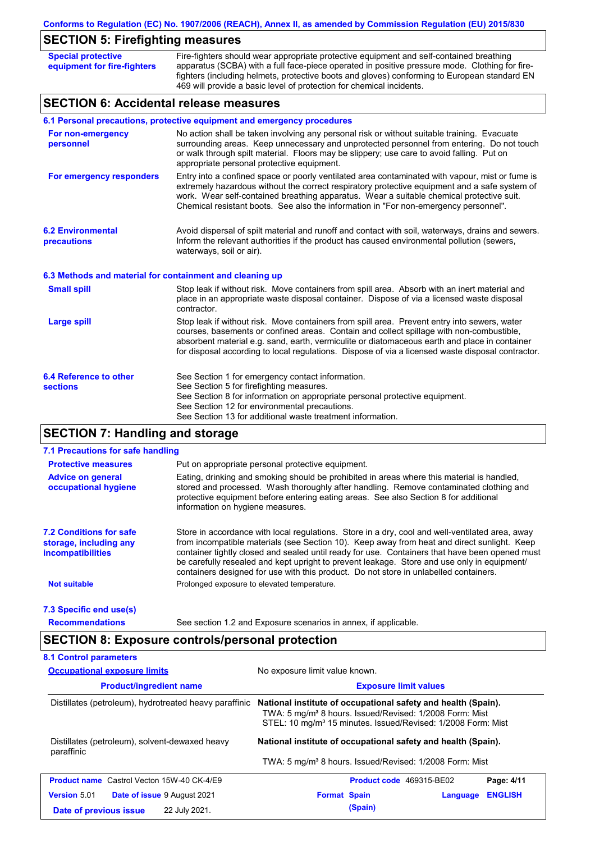|  |  |  | Conforms to Regulation (EC) No. 1907/2006 (REACH), Annex II, as amended by Commission Regulation (EU) 2015/830 |  |
|--|--|--|----------------------------------------------------------------------------------------------------------------|--|
|  |  |  |                                                                                                                |  |

# **SECTION 5: Firefighting measures**

| <b>Special protective</b><br>equipment for fire-fighters | Fire-fighters should wear appropriate protective equipment and self-contained breathing<br>apparatus (SCBA) with a full face-piece operated in positive pressure mode. Clothing for fire-<br>fighters (including helmets, protective boots and gloves) conforming to European standard EN<br>469 will provide a basic level of protection for chemical incidents.                              |  |  |  |  |  |
|----------------------------------------------------------|------------------------------------------------------------------------------------------------------------------------------------------------------------------------------------------------------------------------------------------------------------------------------------------------------------------------------------------------------------------------------------------------|--|--|--|--|--|
|                                                          | <b>SECTION 6: Accidental release measures</b>                                                                                                                                                                                                                                                                                                                                                  |  |  |  |  |  |
|                                                          | 6.1 Personal precautions, protective equipment and emergency procedures                                                                                                                                                                                                                                                                                                                        |  |  |  |  |  |
| For non-emergency<br>personnel                           | No action shall be taken involving any personal risk or without suitable training. Evacuate<br>surrounding areas. Keep unnecessary and unprotected personnel from entering. Do not touch<br>or walk through spilt material. Floors may be slippery; use care to avoid falling. Put on<br>appropriate personal protective equipment.                                                            |  |  |  |  |  |
| For emergency responders                                 | Entry into a confined space or poorly ventilated area contaminated with vapour, mist or fume is<br>extremely hazardous without the correct respiratory protective equipment and a safe system of<br>work. Wear self-contained breathing apparatus. Wear a suitable chemical protective suit.<br>Chemical resistant boots. See also the information in "For non-emergency personnel".           |  |  |  |  |  |
| <b>6.2 Environmental</b><br>precautions                  | Avoid dispersal of spilt material and runoff and contact with soil, waterways, drains and sewers.<br>Inform the relevant authorities if the product has caused environmental pollution (sewers,<br>waterways, soil or air).                                                                                                                                                                    |  |  |  |  |  |
| 6.3 Methods and material for containment and cleaning up |                                                                                                                                                                                                                                                                                                                                                                                                |  |  |  |  |  |
| <b>Small spill</b>                                       | Stop leak if without risk. Move containers from spill area. Absorb with an inert material and<br>place in an appropriate waste disposal container. Dispose of via a licensed waste disposal<br>contractor.                                                                                                                                                                                     |  |  |  |  |  |
| <b>Large spill</b>                                       | Stop leak if without risk. Move containers from spill area. Prevent entry into sewers, water<br>courses, basements or confined areas. Contain and collect spillage with non-combustible,<br>absorbent material e.g. sand, earth, vermiculite or diatomaceous earth and place in container<br>for disposal according to local regulations. Dispose of via a licensed waste disposal contractor. |  |  |  |  |  |
| 6.4 Reference to other<br><b>sections</b>                | See Section 1 for emergency contact information.<br>See Section 5 for firefighting measures.<br>See Section 8 for information on appropriate personal protective equipment.<br>See Section 12 for environmental precautions.<br>See Section 13 for additional waste treatment information.                                                                                                     |  |  |  |  |  |

# **SECTION 7: Handling and storage**

| 7.1 Precautions for safe handling                                                    |                                                                                                                                                                                                                                                                                                                                                                                                                                                                                          |
|--------------------------------------------------------------------------------------|------------------------------------------------------------------------------------------------------------------------------------------------------------------------------------------------------------------------------------------------------------------------------------------------------------------------------------------------------------------------------------------------------------------------------------------------------------------------------------------|
| <b>Protective measures</b>                                                           | Put on appropriate personal protective equipment.                                                                                                                                                                                                                                                                                                                                                                                                                                        |
| <b>Advice on general</b><br>occupational hygiene                                     | Eating, drinking and smoking should be prohibited in areas where this material is handled,<br>stored and processed. Wash thoroughly after handling. Remove contaminated clothing and<br>protective equipment before entering eating areas. See also Section 8 for additional<br>information on hygiene measures.                                                                                                                                                                         |
| <b>7.2 Conditions for safe</b><br>storage, including any<br><i>incompatibilities</i> | Store in accordance with local regulations. Store in a dry, cool and well-ventilated area, away<br>from incompatible materials (see Section 10). Keep away from heat and direct sunlight. Keep<br>container tightly closed and sealed until ready for use. Containers that have been opened must<br>be carefully resealed and kept upright to prevent leakage. Store and use only in equipment/<br>containers designed for use with this product. Do not store in unlabelled containers. |
| Not suitable                                                                         | Prolonged exposure to elevated temperature.                                                                                                                                                                                                                                                                                                                                                                                                                                              |
| 7.3 Specific end use(s)                                                              |                                                                                                                                                                                                                                                                                                                                                                                                                                                                                          |
| <b>Recommendations</b>                                                               | See section 1.2 and Exposure scenarios in annex, if applicable.                                                                                                                                                                                                                                                                                                                                                                                                                          |

# **SECTION 8: Exposure controls/personal protection**

| <b>8.1 Control parameters</b>                                |                                                                                                                                                                                                                  |  |  |  |  |
|--------------------------------------------------------------|------------------------------------------------------------------------------------------------------------------------------------------------------------------------------------------------------------------|--|--|--|--|
| <b>Occupational exposure limits</b>                          | No exposure limit value known.                                                                                                                                                                                   |  |  |  |  |
| <b>Product/ingredient name</b>                               | <b>Exposure limit values</b>                                                                                                                                                                                     |  |  |  |  |
| Distillates (petroleum), hydrotreated heavy paraffinic       | National institute of occupational safety and health (Spain).<br>TWA: 5 mg/m <sup>3</sup> 8 hours. Issued/Revised: 1/2008 Form: Mist<br>STEL: 10 mg/m <sup>3</sup> 15 minutes. Issued/Revised: 1/2008 Form: Mist |  |  |  |  |
| Distillates (petroleum), solvent-dewaxed heavy<br>paraffinic | National institute of occupational safety and health (Spain).                                                                                                                                                    |  |  |  |  |
|                                                              | TWA: 5 mg/m <sup>3</sup> 8 hours. Issued/Revised: 1/2008 Form: Mist                                                                                                                                              |  |  |  |  |
| <b>Product name</b> Castrol Vecton 15W-40 CK-4/E9            | Page: 4/11<br>Product code 469315-BE02                                                                                                                                                                           |  |  |  |  |
| <b>Version 5.01</b><br>Date of issue 9 August 2021           | <b>ENGLISH</b><br><b>Format Spain</b><br>Language                                                                                                                                                                |  |  |  |  |
| 22 July 2021.<br>Date of previous issue                      | (Spain)                                                                                                                                                                                                          |  |  |  |  |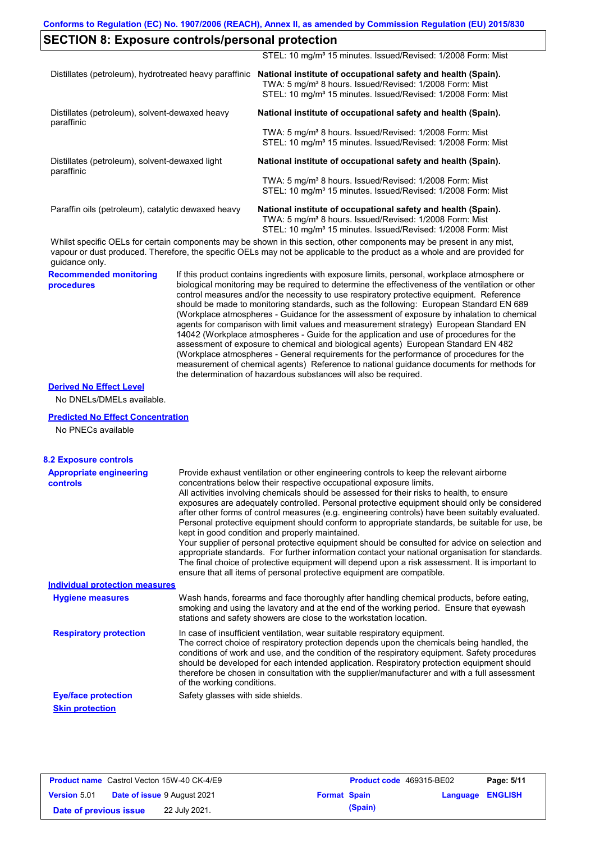## **SECTION 8: Exposure controls/personal protection**

|                                                              | STEL: 10 mg/m <sup>3</sup> 15 minutes. Issued/Revised: 1/2008 Form: Mist                                                                                                                                                                             |
|--------------------------------------------------------------|------------------------------------------------------------------------------------------------------------------------------------------------------------------------------------------------------------------------------------------------------|
| Distillates (petroleum), hydrotreated heavy paraffinic       | National institute of occupational safety and health (Spain).<br>TWA: 5 mg/m <sup>3</sup> 8 hours. Issued/Revised: 1/2008 Form: Mist<br>STEL: 10 mg/m <sup>3</sup> 15 minutes. Issued/Revised: 1/2008 Form: Mist                                     |
| Distillates (petroleum), solvent-dewaxed heavy<br>paraffinic | National institute of occupational safety and health (Spain).                                                                                                                                                                                        |
|                                                              | TWA: 5 mg/m <sup>3</sup> 8 hours. Issued/Revised: 1/2008 Form: Mist<br>STEL: 10 mg/m <sup>3</sup> 15 minutes. Issued/Revised: 1/2008 Form: Mist                                                                                                      |
| Distillates (petroleum), solvent-dewaxed light<br>paraffinic | National institute of occupational safety and health (Spain).                                                                                                                                                                                        |
|                                                              | TWA: 5 mg/m <sup>3</sup> 8 hours. Issued/Revised: 1/2008 Form: Mist<br>STEL: 10 mg/m <sup>3</sup> 15 minutes. Issued/Revised: 1/2008 Form: Mist                                                                                                      |
| Paraffin oils (petroleum), catalytic dewaxed heavy           | National institute of occupational safety and health (Spain).<br>TWA: 5 mg/m <sup>3</sup> 8 hours. Issued/Revised: 1/2008 Form: Mist<br>STEL: 10 mg/m <sup>3</sup> 15 minutes. Issued/Revised: 1/2008 Form: Mist                                     |
|                                                              | Whilst specific OELs for certain components may be shown in this section, other components may be present in any mist,<br>usesus as duat produced. Thorsfore, the creation OELe mou not be conjigable to the production a whole and are provided for |

vapour or dust produced. Therefore, the specific OELs may not be applicable to the product as a whole and are provided for guidance only.

**Recommended monitoring procedures**

If this product contains ingredients with exposure limits, personal, workplace atmosphere or biological monitoring may be required to determine the effectiveness of the ventilation or other control measures and/or the necessity to use respiratory protective equipment. Reference should be made to monitoring standards, such as the following: European Standard EN 689 (Workplace atmospheres - Guidance for the assessment of exposure by inhalation to chemical agents for comparison with limit values and measurement strategy) European Standard EN 14042 (Workplace atmospheres - Guide for the application and use of procedures for the assessment of exposure to chemical and biological agents) European Standard EN 482 (Workplace atmospheres - General requirements for the performance of procedures for the measurement of chemical agents) Reference to national guidance documents for methods for the determination of hazardous substances will also be required.

### **Derived No Effect Level**

No DNELs/DMELs available.

### **Predicted No Effect Concentration**

No PNECs available

| <b>8.2 Exposure controls</b>                      |                                                                                                                                                                                                                                                                                                                                                                                                                                                                                                                                                                                                                                                                                                                                                                                                                                                                                                                                                                                                         |
|---------------------------------------------------|---------------------------------------------------------------------------------------------------------------------------------------------------------------------------------------------------------------------------------------------------------------------------------------------------------------------------------------------------------------------------------------------------------------------------------------------------------------------------------------------------------------------------------------------------------------------------------------------------------------------------------------------------------------------------------------------------------------------------------------------------------------------------------------------------------------------------------------------------------------------------------------------------------------------------------------------------------------------------------------------------------|
| <b>Appropriate engineering</b><br><b>controls</b> | Provide exhaust ventilation or other engineering controls to keep the relevant airborne<br>concentrations below their respective occupational exposure limits.<br>All activities involving chemicals should be assessed for their risks to health, to ensure<br>exposures are adequately controlled. Personal protective equipment should only be considered<br>after other forms of control measures (e.g. engineering controls) have been suitably evaluated.<br>Personal protective equipment should conform to appropriate standards, be suitable for use, be<br>kept in good condition and properly maintained.<br>Your supplier of personal protective equipment should be consulted for advice on selection and<br>appropriate standards. For further information contact your national organisation for standards.<br>The final choice of protective equipment will depend upon a risk assessment. It is important to<br>ensure that all items of personal protective equipment are compatible. |
| <b>Individual protection measures</b>             |                                                                                                                                                                                                                                                                                                                                                                                                                                                                                                                                                                                                                                                                                                                                                                                                                                                                                                                                                                                                         |
| <b>Hygiene measures</b>                           | Wash hands, forearms and face thoroughly after handling chemical products, before eating,<br>smoking and using the lavatory and at the end of the working period. Ensure that eyewash<br>stations and safety showers are close to the workstation location.                                                                                                                                                                                                                                                                                                                                                                                                                                                                                                                                                                                                                                                                                                                                             |
| <b>Respiratory protection</b>                     | In case of insufficient ventilation, wear suitable respiratory equipment.<br>The correct choice of respiratory protection depends upon the chemicals being handled, the<br>conditions of work and use, and the condition of the respiratory equipment. Safety procedures<br>should be developed for each intended application. Respiratory protection equipment should<br>therefore be chosen in consultation with the supplier/manufacturer and with a full assessment<br>of the working conditions.                                                                                                                                                                                                                                                                                                                                                                                                                                                                                                   |
| <b>Eye/face protection</b>                        | Safety glasses with side shields.                                                                                                                                                                                                                                                                                                                                                                                                                                                                                                                                                                                                                                                                                                                                                                                                                                                                                                                                                                       |
| <b>Skin protection</b>                            |                                                                                                                                                                                                                                                                                                                                                                                                                                                                                                                                                                                                                                                                                                                                                                                                                                                                                                                                                                                                         |

|                        | <b>Product name</b> Castrol Vecton 15W-40 CK-4/E9 |                     | Product code 469315-BE02 |                         | Page: 5/11 |
|------------------------|---------------------------------------------------|---------------------|--------------------------|-------------------------|------------|
| <b>Version 5.01</b>    | <b>Date of issue 9 August 2021</b>                | <b>Format Spain</b> |                          | <b>Language ENGLISH</b> |            |
| Date of previous issue | 22 July 2021.                                     |                     | (Spain)                  |                         |            |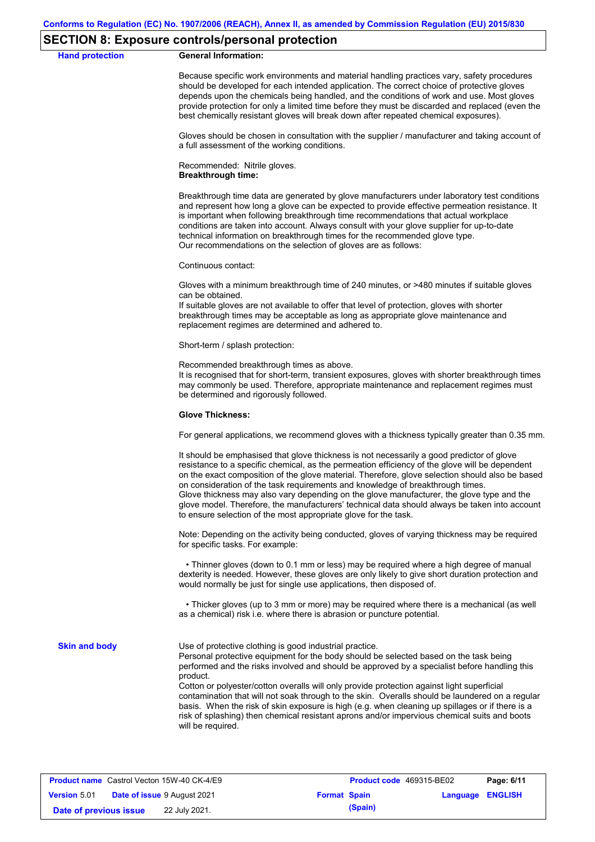### **SECTION 8: Exposure controls/personal protection**

**Hand protection** 

Because specific work environments and material handling practices vary, safety procedures should be developed for each intended application. The correct choice of protective gloves depends upon the chemicals being handled, and the conditions of work and use. Most gloves provide protection for only a limited time before they must be discarded and replaced (even the best chemically resistant gloves will break down after repeated chemical exposures).

Gloves should be chosen in consultation with the supplier / manufacturer and taking account of a full assessment of the working conditions.

Recommended: Nitrile gloves. **Breakthrough time:**

Breakthrough time data are generated by glove manufacturers under laboratory test conditions and represent how long a glove can be expected to provide effective permeation resistance. It is important when following breakthrough time recommendations that actual workplace conditions are taken into account. Always consult with your glove supplier for up-to-date technical information on breakthrough times for the recommended glove type. Our recommendations on the selection of gloves are as follows:

Continuous contact:

Gloves with a minimum breakthrough time of 240 minutes, or >480 minutes if suitable gloves can be obtained.

If suitable gloves are not available to offer that level of protection, gloves with shorter breakthrough times may be acceptable as long as appropriate glove maintenance and replacement regimes are determined and adhered to.

Short-term / splash protection:

Recommended breakthrough times as above.

It is recognised that for short-term, transient exposures, gloves with shorter breakthrough times may commonly be used. Therefore, appropriate maintenance and replacement regimes must be determined and rigorously followed.

#### **Glove Thickness:**

For general applications, we recommend gloves with a thickness typically greater than 0.35 mm.

It should be emphasised that glove thickness is not necessarily a good predictor of glove resistance to a specific chemical, as the permeation efficiency of the glove will be dependent on the exact composition of the glove material. Therefore, glove selection should also be based on consideration of the task requirements and knowledge of breakthrough times. Glove thickness may also vary depending on the glove manufacturer, the glove type and the glove model. Therefore, the manufacturers' technical data should always be taken into account to ensure selection of the most appropriate glove for the task.

Note: Depending on the activity being conducted, gloves of varying thickness may be required for specific tasks. For example:

 • Thinner gloves (down to 0.1 mm or less) may be required where a high degree of manual dexterity is needed. However, these gloves are only likely to give short duration protection and would normally be just for single use applications, then disposed of.

 • Thicker gloves (up to 3 mm or more) may be required where there is a mechanical (as well as a chemical) risk i.e. where there is abrasion or puncture potential.

**Skin and body**

Use of protective clothing is good industrial practice.

Personal protective equipment for the body should be selected based on the task being performed and the risks involved and should be approved by a specialist before handling this product.

Cotton or polyester/cotton overalls will only provide protection against light superficial contamination that will not soak through to the skin. Overalls should be laundered on a regular basis. When the risk of skin exposure is high (e.g. when cleaning up spillages or if there is a risk of splashing) then chemical resistant aprons and/or impervious chemical suits and boots will be required.

|                        | <b>Product name</b> Castrol Vecton 15W-40 CK-4/E9 |                     | <b>Product code</b> 469315-BE02 |                         | Page: 6/11 |
|------------------------|---------------------------------------------------|---------------------|---------------------------------|-------------------------|------------|
| <b>Version 5.01</b>    | <b>Date of issue 9 August 2021</b>                | <b>Format Spain</b> |                                 | <b>Language ENGLISH</b> |            |
| Date of previous issue | 22 July 2021.                                     |                     | (Spain)                         |                         |            |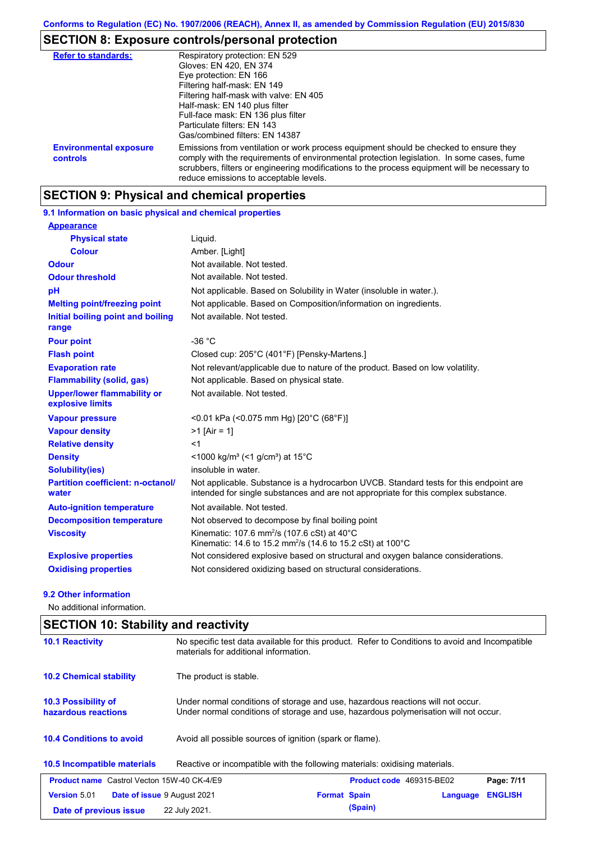## **SECTION 8: Exposure controls/personal protection**

| <b>Refer to standards:</b>                | Respiratory protection: EN 529                                                                                                                                                                                                                                                                                                |
|-------------------------------------------|-------------------------------------------------------------------------------------------------------------------------------------------------------------------------------------------------------------------------------------------------------------------------------------------------------------------------------|
|                                           | Gloves: EN 420, EN 374                                                                                                                                                                                                                                                                                                        |
|                                           | Eye protection: EN 166                                                                                                                                                                                                                                                                                                        |
|                                           | Filtering half-mask: EN 149                                                                                                                                                                                                                                                                                                   |
|                                           | Filtering half-mask with valve: EN 405                                                                                                                                                                                                                                                                                        |
|                                           | Half-mask: EN 140 plus filter                                                                                                                                                                                                                                                                                                 |
|                                           | Full-face mask: EN 136 plus filter                                                                                                                                                                                                                                                                                            |
|                                           | Particulate filters: EN 143                                                                                                                                                                                                                                                                                                   |
|                                           | Gas/combined filters: EN 14387                                                                                                                                                                                                                                                                                                |
| <b>Environmental exposure</b><br>controls | Emissions from ventilation or work process equipment should be checked to ensure they<br>comply with the requirements of environmental protection legislation. In some cases, fume<br>scrubbers, filters or engineering modifications to the process equipment will be necessary to<br>reduce emissions to acceptable levels. |

## **SECTION 9: Physical and chemical properties**

#### Not available. Not tested. **Physical state Melting point/freezing point Initial boiling point and boiling range Vapour pressure Relative density Vapour density** Liquid. Not applicable. Based on Composition/information on ingredients.  $<sub>1</sub>$ </sub> >1 [Air = 1] <0.01 kPa (<0.075 mm Hg) [20°C (68°F)] **Odour** Not available. Not tested. **pH Colour** Amber. [Light] **Evaporation rate Not relevant/applicable due to nature of the product. Based on low volatility. Auto-ignition temperature Flash point** Not available. Not tested. Closed cup: 205°C (401°F) [Pensky-Martens.] Not available. Not tested. Not considered explosive based on structural and oxygen balance considerations. Not applicable. Substance is a hydrocarbon UVCB. Standard tests for this endpoint are intended for single substances and are not appropriate for this complex substance. Not applicable. Based on Solubility in Water (insoluble in water.). **Viscosity** Mate of the Milliam Kinematic: 107.6 mm<sup>2</sup>/s (107.6 cSt) at 40°C Kinematic: 14.6 to 15.2 mm<sup>2</sup>/s (14.6 to 15.2 cSt) at 100 $^{\circ}$ C **Odour threshold** Not available. Not tested. **Partition coefficient: n-octanol/ water Upper/lower flammability or explosive limits Explosive properties Oxidising properties** Not considered oxidizing based on structural considerations. **9.1 Information on basic physical and chemical properties Appearance Decomposition temperature** Not observed to decompose by final boiling point **Flammability (solid, gas)** Not applicable. Based on physical state. **Pour point**  $-36 °C$ **Density** <1000 kg/m<sup>3</sup> (<1 g/cm<sup>3</sup>) at 15<sup>°</sup>C **Solubility(ies)** insoluble in water.

### **9.2 Other information**

No additional information.

| <b>SECTION 10: Stability and reactivity</b>        |                                                                                                                                                                         |  |  |  |
|----------------------------------------------------|-------------------------------------------------------------------------------------------------------------------------------------------------------------------------|--|--|--|
| <b>10.1 Reactivity</b>                             | No specific test data available for this product. Refer to Conditions to avoid and Incompatible<br>materials for additional information.                                |  |  |  |
| <b>10.2 Chemical stability</b>                     | The product is stable.                                                                                                                                                  |  |  |  |
| 10.3 Possibility of<br>hazardous reactions         | Under normal conditions of storage and use, hazardous reactions will not occur.<br>Under normal conditions of storage and use, hazardous polymerisation will not occur. |  |  |  |
| <b>10.4 Conditions to avoid</b>                    | Avoid all possible sources of ignition (spark or flame).                                                                                                                |  |  |  |
| <b>10.5 Incompatible materials</b>                 | Reactive or incompatible with the following materials: oxidising materials.                                                                                             |  |  |  |
| <b>Product name</b> Castrol Vecton 15W-40 CK-4/E9  | <b>Product code</b> 469315-BE02<br>Page: 7/11                                                                                                                           |  |  |  |
| <b>Version 5.01</b><br>Date of issue 9 August 2021 | <b>ENGLISH</b><br><b>Format Spain</b><br>Language                                                                                                                       |  |  |  |
| Date of previous issue                             | (Spain)<br>22 July 2021.                                                                                                                                                |  |  |  |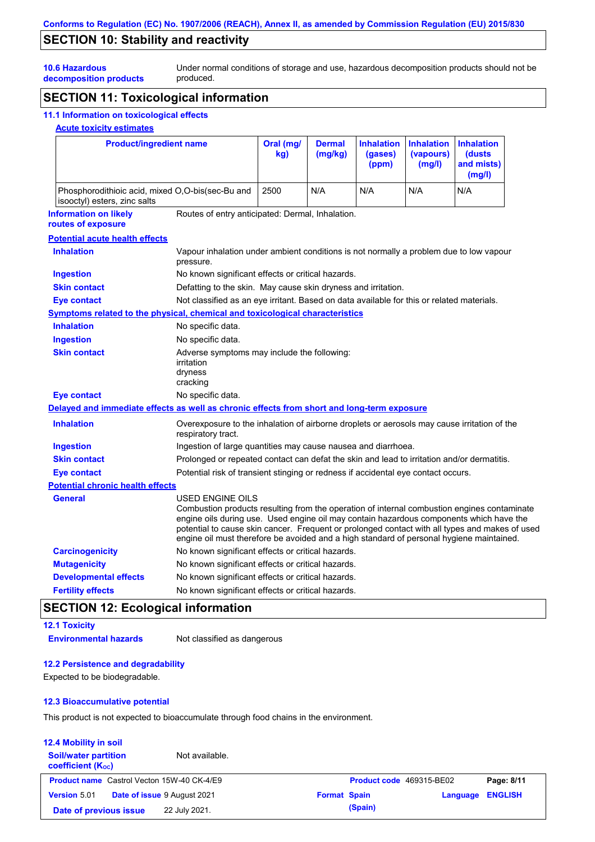## **SECTION 10: Stability and reactivity**

Under normal conditions of storage and use, hazardous decomposition products should not be produced.

**10.6 Hazardous decomposition products**

# **SECTION 11: Toxicological information**

### **11.1 Information on toxicological effects**

### **Acute toxicity estimates**

| <b>Product/ingredient name</b>                                                             |                                                                                                                                                                                                                                                                                                        | Oral (mg/<br>kq | <b>Dermal</b><br>(mg/kg) | <b>Inhalation</b><br>(gases)<br>(ppm) | <b>Inhalation</b><br>(vapours)<br>(mg/l) | <b>Inhalation</b><br>(dusts)<br>and mists)<br>(mg/l)                                           |
|--------------------------------------------------------------------------------------------|--------------------------------------------------------------------------------------------------------------------------------------------------------------------------------------------------------------------------------------------------------------------------------------------------------|-----------------|--------------------------|---------------------------------------|------------------------------------------|------------------------------------------------------------------------------------------------|
| Phosphorodithioic acid, mixed O,O-bis(sec-Bu and<br>isooctyl) esters, zinc salts           |                                                                                                                                                                                                                                                                                                        | 2500            | N/A                      | N/A                                   | N/A                                      | N/A                                                                                            |
| <b>Information on likely</b><br>routes of exposure                                         | Routes of entry anticipated: Dermal, Inhalation.                                                                                                                                                                                                                                                       |                 |                          |                                       |                                          |                                                                                                |
| <b>Potential acute health effects</b>                                                      |                                                                                                                                                                                                                                                                                                        |                 |                          |                                       |                                          |                                                                                                |
| <b>Inhalation</b>                                                                          | Vapour inhalation under ambient conditions is not normally a problem due to low vapour<br>pressure.                                                                                                                                                                                                    |                 |                          |                                       |                                          |                                                                                                |
| <b>Ingestion</b>                                                                           | No known significant effects or critical hazards.                                                                                                                                                                                                                                                      |                 |                          |                                       |                                          |                                                                                                |
| <b>Skin contact</b>                                                                        | Defatting to the skin. May cause skin dryness and irritation.                                                                                                                                                                                                                                          |                 |                          |                                       |                                          |                                                                                                |
| <b>Eye contact</b>                                                                         | Not classified as an eye irritant. Based on data available for this or related materials.                                                                                                                                                                                                              |                 |                          |                                       |                                          |                                                                                                |
| <b>Symptoms related to the physical, chemical and toxicological characteristics</b>        |                                                                                                                                                                                                                                                                                                        |                 |                          |                                       |                                          |                                                                                                |
| <b>Inhalation</b>                                                                          | No specific data.                                                                                                                                                                                                                                                                                      |                 |                          |                                       |                                          |                                                                                                |
| <b>Ingestion</b>                                                                           | No specific data.                                                                                                                                                                                                                                                                                      |                 |                          |                                       |                                          |                                                                                                |
| <b>Skin contact</b>                                                                        | Adverse symptoms may include the following:<br>irritation<br>dryness<br>cracking                                                                                                                                                                                                                       |                 |                          |                                       |                                          |                                                                                                |
| <b>Eye contact</b>                                                                         | No specific data.                                                                                                                                                                                                                                                                                      |                 |                          |                                       |                                          |                                                                                                |
| Delayed and immediate effects as well as chronic effects from short and long-term exposure |                                                                                                                                                                                                                                                                                                        |                 |                          |                                       |                                          |                                                                                                |
| <b>Inhalation</b>                                                                          | Overexposure to the inhalation of airborne droplets or aerosols may cause irritation of the<br>respiratory tract.                                                                                                                                                                                      |                 |                          |                                       |                                          |                                                                                                |
| <b>Ingestion</b>                                                                           | Ingestion of large quantities may cause nausea and diarrhoea.                                                                                                                                                                                                                                          |                 |                          |                                       |                                          |                                                                                                |
| <b>Skin contact</b>                                                                        | Prolonged or repeated contact can defat the skin and lead to irritation and/or dermatitis.                                                                                                                                                                                                             |                 |                          |                                       |                                          |                                                                                                |
| <b>Eye contact</b>                                                                         | Potential risk of transient stinging or redness if accidental eye contact occurs.                                                                                                                                                                                                                      |                 |                          |                                       |                                          |                                                                                                |
| <b>Potential chronic health effects</b>                                                    |                                                                                                                                                                                                                                                                                                        |                 |                          |                                       |                                          |                                                                                                |
| <b>General</b>                                                                             | USED ENGINE OILS<br>Combustion products resulting from the operation of internal combustion engines contaminate<br>engine oils during use. Used engine oil may contain hazardous components which have the<br>engine oil must therefore be avoided and a high standard of personal hygiene maintained. |                 |                          |                                       |                                          | potential to cause skin cancer. Frequent or prolonged contact with all types and makes of used |
| <b>Carcinogenicity</b>                                                                     | No known significant effects or critical hazards.                                                                                                                                                                                                                                                      |                 |                          |                                       |                                          |                                                                                                |
| <b>Mutagenicity</b>                                                                        | No known significant effects or critical hazards.                                                                                                                                                                                                                                                      |                 |                          |                                       |                                          |                                                                                                |
| <b>Developmental effects</b>                                                               | No known significant effects or critical hazards.                                                                                                                                                                                                                                                      |                 |                          |                                       |                                          |                                                                                                |
| <b>Fertility effects</b>                                                                   | No known significant effects or critical hazards.                                                                                                                                                                                                                                                      |                 |                          |                                       |                                          |                                                                                                |

# **SECTION 12: Ecological information**

## **12.1 Toxicity Environmental hazards** Not classified as dangerous

### **12.2 Persistence and degradability**

Expected to be biodegradable.

### **12.3 Bioaccumulative potential**

This product is not expected to bioaccumulate through food chains in the environment.

### **12.4 Mobility in soil Soil/water partition coefficient (KOC)** Not available. **Product name** Castrol Vecton 15W-40 CK-4/E9 **Product Code 469315-BE02 Page: 8/11 Version** 5.01 **Date of issue** 9 August 2021 **Format Spain Language ENGLISH Date of previous issue 22 July 2021. (Spain) (Spain)**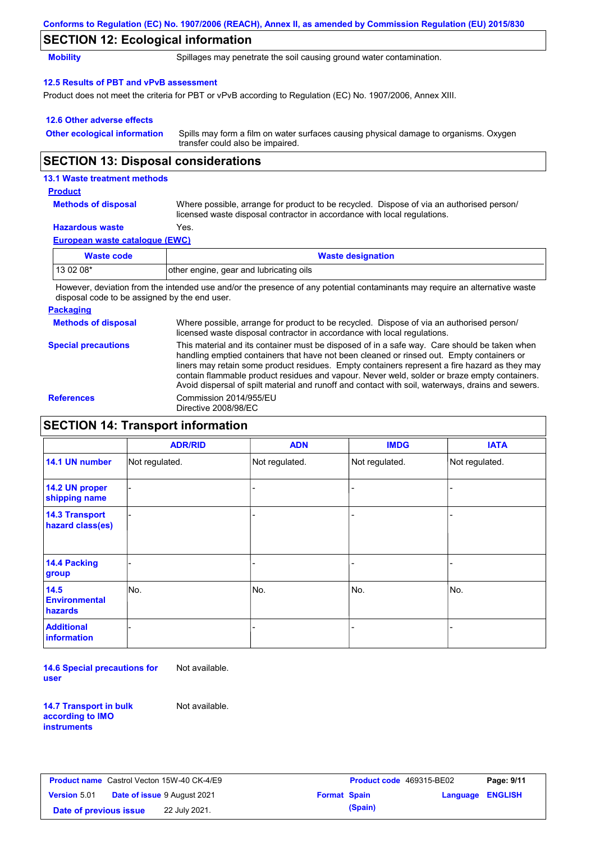|                                            | Conforms to Regulation (EC) No. 1907/2006 (REACH), Annex II, as amended by Commission Regulation (EU) 2015/830                                                       |  |  |  |
|--------------------------------------------|----------------------------------------------------------------------------------------------------------------------------------------------------------------------|--|--|--|
| <b>SECTION 12: Ecological information</b>  |                                                                                                                                                                      |  |  |  |
| <b>Mobility</b>                            | Spillages may penetrate the soil causing ground water contamination.                                                                                                 |  |  |  |
| 12.5 Results of PBT and vPvB assessment    |                                                                                                                                                                      |  |  |  |
|                                            | Product does not meet the criteria for PBT or vPvB according to Regulation (EC) No. 1907/2006, Annex XIII.                                                           |  |  |  |
| 12.6 Other adverse effects                 |                                                                                                                                                                      |  |  |  |
| <b>Other ecological information</b>        | Spills may form a film on water surfaces causing physical damage to organisms. Oxygen<br>transfer could also be impaired.                                            |  |  |  |
| <b>SECTION 13: Disposal considerations</b> |                                                                                                                                                                      |  |  |  |
| 13.1 Waste treatment methods               |                                                                                                                                                                      |  |  |  |
| <b>Product</b>                             |                                                                                                                                                                      |  |  |  |
| <b>Methods of disposal</b>                 | Where possible, arrange for product to be recycled. Dispose of via an authorised person/<br>licensed waste disposal contractor in accordance with local regulations. |  |  |  |
| <b>Hazardous waste</b>                     | Yes.                                                                                                                                                                 |  |  |  |
| <b>European waste catalogue (EWC)</b>      |                                                                                                                                                                      |  |  |  |

| Waste code | <b>Waste designation</b>                                                                                                    |
|------------|-----------------------------------------------------------------------------------------------------------------------------|
| $130208*$  | other engine, gear and lubricating oils                                                                                     |
|            | However, deviation from the intended use and/or the presence of any natertial contaminante may require an elternative worte |

However, deviation from the intended use and/or the presence of any potential contaminants may require an alternative waste disposal code to be assigned by the end user.

## **Packaging**

| <b>Methods of disposal</b> | Where possible, arrange for product to be recycled. Dispose of via an authorised person/<br>licensed waste disposal contractor in accordance with local regulations.                                                                                                                                                                                                                                                                                                                            |
|----------------------------|-------------------------------------------------------------------------------------------------------------------------------------------------------------------------------------------------------------------------------------------------------------------------------------------------------------------------------------------------------------------------------------------------------------------------------------------------------------------------------------------------|
| <b>Special precautions</b> | This material and its container must be disposed of in a safe way. Care should be taken when<br>handling emptied containers that have not been cleaned or rinsed out. Empty containers or<br>liners may retain some product residues. Empty containers represent a fire hazard as they may<br>contain flammable product residues and vapour. Never weld, solder or braze empty containers.<br>Avoid dispersal of spilt material and runoff and contact with soil, waterways, drains and sewers. |

## **References** Commission 2014/955/EU Directive 2008/98/EC

# **SECTION 14: Transport information**

|                                           | <b>ADR/RID</b> | <b>ADN</b>     | <b>IMDG</b>    | <b>IATA</b>    |
|-------------------------------------------|----------------|----------------|----------------|----------------|
|                                           |                |                |                |                |
| 14.1 UN number                            | Not regulated. | Not regulated. | Not regulated. | Not regulated. |
| 14.2 UN proper<br>shipping name           |                |                |                |                |
| <b>14.3 Transport</b><br>hazard class(es) |                |                |                |                |
| 14.4 Packing<br>group                     |                |                |                |                |
| 14.5<br><b>Environmental</b><br>hazards   | No.            | No.            | No.            | No.            |
| <b>Additional</b><br>information          |                |                |                |                |

**14.6 Special precautions for user** Not available.

**14.7 Transport in bulk according to IMO instruments**

Not available.

| <b>Product name</b> Castrol Vecton 15W-40 CK-4/E9 |                                    |                     | <b>Product cod</b> |
|---------------------------------------------------|------------------------------------|---------------------|--------------------|
| <b>Version 5.01</b>                               | <b>Date of issue 9 August 2021</b> | <b>Format Spain</b> |                    |
| Date of previous issue                            | 22 July 2021.                      |                     | (Spain)            |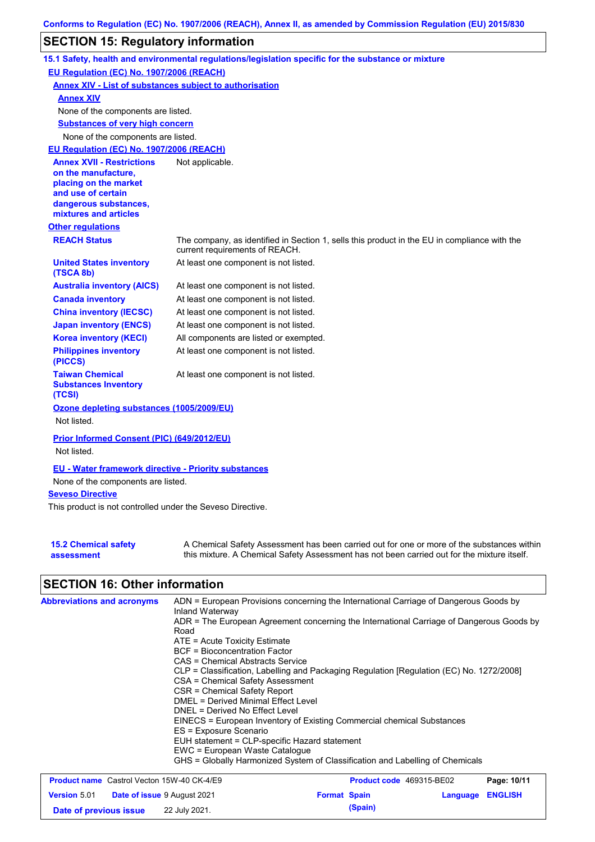# **SECTION 15: Regulatory information**

|                                                                                                                                                          | 15.1 Safety, health and environmental regulations/legislation specific for the substance or mixture                            |
|----------------------------------------------------------------------------------------------------------------------------------------------------------|--------------------------------------------------------------------------------------------------------------------------------|
| EU Regulation (EC) No. 1907/2006 (REACH)                                                                                                                 |                                                                                                                                |
| <b>Annex XIV - List of substances subject to authorisation</b>                                                                                           |                                                                                                                                |
| <b>Annex XIV</b>                                                                                                                                         |                                                                                                                                |
| None of the components are listed.                                                                                                                       |                                                                                                                                |
| <b>Substances of very high concern</b>                                                                                                                   |                                                                                                                                |
| None of the components are listed.                                                                                                                       |                                                                                                                                |
| EU Regulation (EC) No. 1907/2006 (REACH)                                                                                                                 |                                                                                                                                |
| <b>Annex XVII - Restrictions</b><br>on the manufacture,<br>placing on the market<br>and use of certain<br>dangerous substances,<br>mixtures and articles | Not applicable.                                                                                                                |
| <b>Other regulations</b>                                                                                                                                 |                                                                                                                                |
| <b>REACH Status</b>                                                                                                                                      | The company, as identified in Section 1, sells this product in the EU in compliance with the<br>current requirements of REACH. |
| <b>United States inventory</b><br>(TSCA 8b)                                                                                                              | At least one component is not listed.                                                                                          |
| <b>Australia inventory (AICS)</b>                                                                                                                        | At least one component is not listed.                                                                                          |
| <b>Canada inventory</b>                                                                                                                                  | At least one component is not listed.                                                                                          |
| <b>China inventory (IECSC)</b>                                                                                                                           | At least one component is not listed.                                                                                          |
| <b>Japan inventory (ENCS)</b>                                                                                                                            | At least one component is not listed.                                                                                          |
| <b>Korea inventory (KECI)</b>                                                                                                                            | All components are listed or exempted.                                                                                         |
| <b>Philippines inventory</b><br>(PICCS)                                                                                                                  | At least one component is not listed.                                                                                          |
| <b>Taiwan Chemical</b><br><b>Substances Inventory</b><br>(TCSI)                                                                                          | At least one component is not listed.                                                                                          |
| Ozone depleting substances (1005/2009/EU)                                                                                                                |                                                                                                                                |
| Not listed.                                                                                                                                              |                                                                                                                                |
| Prior Informed Consent (PIC) (649/2012/EU)<br>Not listed.                                                                                                |                                                                                                                                |
|                                                                                                                                                          |                                                                                                                                |
| <b>EU - Water framework directive - Priority substances</b>                                                                                              |                                                                                                                                |
| None of the components are listed.                                                                                                                       |                                                                                                                                |
| <b>Seveso Directive</b>                                                                                                                                  |                                                                                                                                |
| This product is not controlled under the Seveso Directive.                                                                                               |                                                                                                                                |

| <b>15.2 Chemical safety</b> | A Chemical Safety Assessment has been carried out for one or more of the substances within  |
|-----------------------------|---------------------------------------------------------------------------------------------|
| assessment                  | this mixture. A Chemical Safety Assessment has not been carried out for the mixture itself. |

# **SECTION 16: Other information**

| <b>Abbreviations and acronyms</b>                 | ADN = European Provisions concerning the International Carriage of Dangerous Goods by<br>Inland Waterway<br>ADR = The European Agreement concerning the International Carriage of Dangerous Goods by<br>Road<br>$ATE = Acute Toxicity Estimate$<br><b>BCF</b> = Bioconcentration Factor<br>CAS = Chemical Abstracts Service<br>CLP = Classification, Labelling and Packaging Regulation [Regulation (EC) No. 1272/2008]<br>CSA = Chemical Safety Assessment<br>CSR = Chemical Safety Report<br>DMEL = Derived Minimal Effect Level<br>DNEL = Derived No Effect Level<br>EINECS = European Inventory of Existing Commercial chemical Substances<br>ES = Exposure Scenario<br>EUH statement = CLP-specific Hazard statement<br>EWC = European Waste Cataloque |                     |                          |          |                |
|---------------------------------------------------|-------------------------------------------------------------------------------------------------------------------------------------------------------------------------------------------------------------------------------------------------------------------------------------------------------------------------------------------------------------------------------------------------------------------------------------------------------------------------------------------------------------------------------------------------------------------------------------------------------------------------------------------------------------------------------------------------------------------------------------------------------------|---------------------|--------------------------|----------|----------------|
|                                                   | GHS = Globally Harmonized System of Classification and Labelling of Chemicals                                                                                                                                                                                                                                                                                                                                                                                                                                                                                                                                                                                                                                                                               |                     |                          |          |                |
| <b>Product name</b> Castrol Vecton 15W-40 CK-4/E9 |                                                                                                                                                                                                                                                                                                                                                                                                                                                                                                                                                                                                                                                                                                                                                             |                     | Product code 469315-BE02 |          | Page: 10/11    |
| Version 5.01 Date of issue 9 August 2021          |                                                                                                                                                                                                                                                                                                                                                                                                                                                                                                                                                                                                                                                                                                                                                             | <b>Format Spain</b> |                          | Language | <b>ENGLISH</b> |

**Date of previous issue 22 July 2021. (Spain) (Spain)**